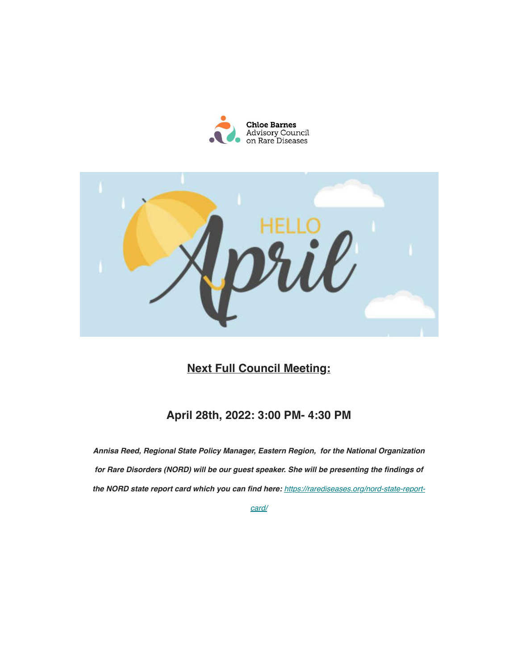



### **Next Full Council Meeting:**

#### April 28th, 2022: 3:00 PM- 4:30 PM

Annisa Reed, Regional State Policy Manager, Eastern Region, for the National Organization for Rare Disorders (NORD) will be our guest speaker. She will be presenting the findings of the NORD state report card which you can find here: https://rarediseases.org/nord-state-report-

card/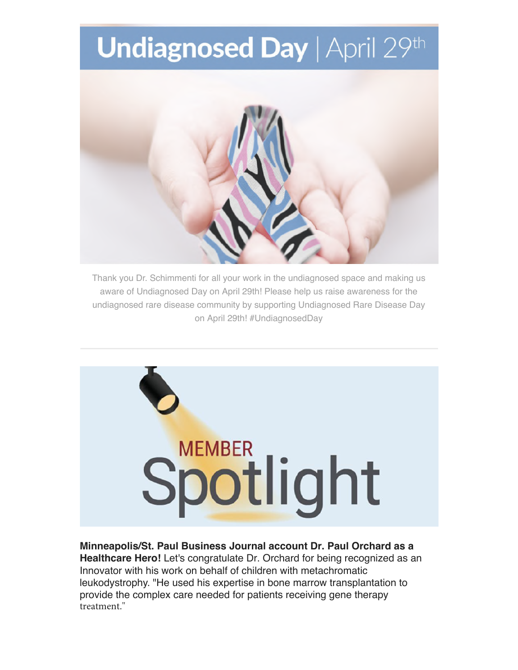# **Undiagnosed Day | April 29th**



Thank you Dr. Schimmenti for all your work in the undiagnosed space and making us aware of Undiagnosed Day on April 29th! Please help us raise awareness for the undiagnosed rare disease community by supporting Undiagnosed Rare Disease Day on April 29th! #UndiagnosedDay



Minneapolis/St. Paul Business Journal account Dr. Paul Orchard as a Healthcare Hero! Let's congratulate Dr. Orchard for being recognized as an Innovator with his work on behalf of children with metachromatic leukodystrophy. "He used his expertise in bone marrow transplantation to provide the complex care needed for patients receiving gene therapy treatment."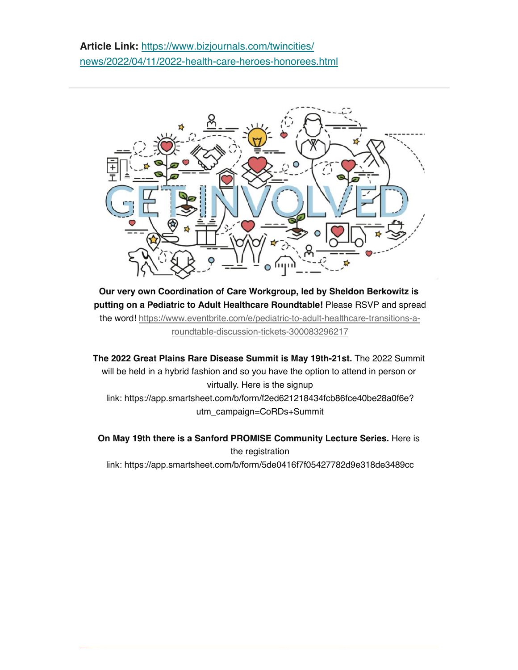

Our very own Coordination of Care Workgroup, led by Sheldon Berkowitz is putting on a Pediatric to Adult Healthcare Roundtable! Please RSVP and spread the word! https://www.eventbrite.com/e/pediatric-to-adult-healthcare-transitions-aroundtable-discussion-tickets-300083296217

The 2022 Great Plains Rare Disease Summit is May 19th-21st. The 2022 Summit will be held in a hybrid fashion and so you have the option to attend in person or virtually. Here is the signup link: https://app.smartsheet.com/b/form/f2ed621218434fcb86fce40be28a0f6e?

utm\_campaign=CoRDs+Summit

On May 19th there is a Sanford PROMISE Community Lecture Series. Here is the registration link: https://app.smartsheet.com/b/form/5de0416f7f05427782d9e318de3489cc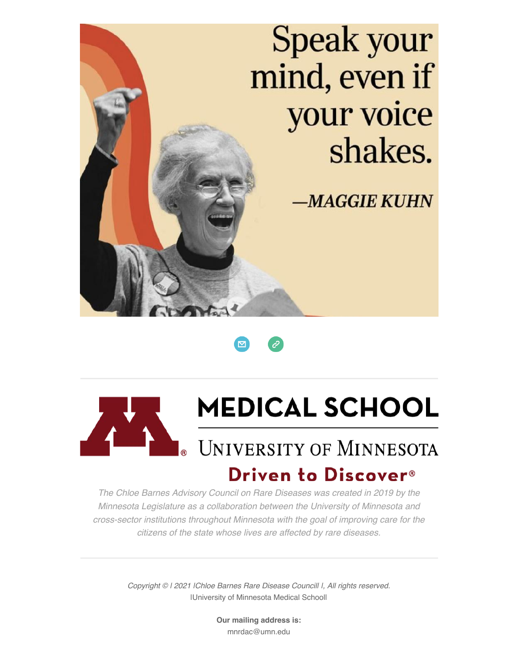





## **MEDICAL SCHOOL**

### **UNIVERSITY OF MINNESOTA** Driven to Discover<sup>®</sup>

The Chloe Barnes Advisory Council on Rare Diseases was created in 2019 by the Minnesota Legislature as a collaboration between the University of Minnesota and cross-sector institutions throughout Minnesota with the goal of improving care for the citizens of the state whose lives are affected by rare diseases.

> Copyright © I 2021 IChloe Barnes Rare Disease Councill I, All rights reserved. IUniversity of Minnesota Medical Schooll

> > Our mailing address is: mnrdac@umn.edu